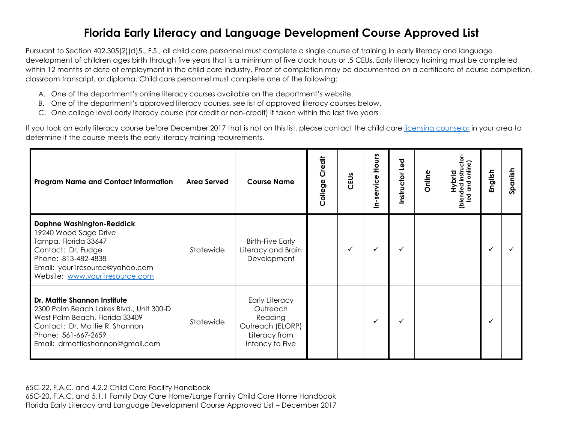## **Florida Early Literacy and Language Development Course Approved List**

Pursuant to Section 402.305(2)(d)5., F.S., all child care personnel must complete a single course of training in early literacy and language development of children ages birth through five years that is a minimum of five clock hours or .5 CEUs. Early literacy training must be completed within 12 months of date of employment in the child care industry. Proof of completion may be documented on a certificate of course completion, classroom transcript, or diploma. Child care personnel must complete one of the following:

- A. One of the department's online literacy courses available on the department's website.
- B. One of the department's approved literacy courses, see list of approved literacy courses below.
- C. One college level early literacy course (for credit or non-credit) if taken within the last five years

If you took an early literacy course before December 2017 that is not on this list, please contact the child care [licensing counselor](http://www.myflfamilies.com/service-programs/child-care/contacts) in your area to determine if the course meets the early literacy training requirements.

| <b>Program Name and Contact Information</b>                                                                                                                                                            | <b>Area Served</b> | <b>Course Name</b>                                                                                   | College Credit | CEUS | Hours<br>-service<br>드 | Instructor Led | Online | (blended instructor<br>online)<br>Hybrid<br>pa<br>o<br>g | English | nish<br>ರ<br>š |
|--------------------------------------------------------------------------------------------------------------------------------------------------------------------------------------------------------|--------------------|------------------------------------------------------------------------------------------------------|----------------|------|------------------------|----------------|--------|----------------------------------------------------------|---------|----------------|
| <b>Daphne Washington-Reddick</b><br>19240 Wood Sage Drive<br>Tampa, Florida 33647<br>Contact: Dr. Fudge<br>Phone: 813-482-4838<br>Email: your1resource@yahoo.com<br>Website: www.yourlresource.com     | Statewide          | <b>Birth-Five Early</b><br>Literacy and Brain<br>Development                                         |                | ✓    | ✓                      | ✓              |        |                                                          |         |                |
| Dr. Mattie Shannon Institute<br>2300 Palm Beach Lakes Blvd., Unit 300-D<br>West Palm Beach, Florida 33409<br>Contact: Dr. Mattie R. Shannon<br>Phone: 561-667-2659<br>Email: drmattieshannon@gmail.com | Statewide          | <b>Early Literacy</b><br>Outreach<br>Reading<br>Outreach (ELORP)<br>Literacy from<br>Infancy to Five |                |      | $\checkmark$           | ✓              |        |                                                          |         |                |

65C-22, F.A.C. and 4.2.2 Child Care Facility Handbook 65C-20, F.A.C. and 5.1.1 Family Day Care Home/Large Family Child Care Home Handbook Florida Early Literacy and Language Development Course Approved List – December 2017